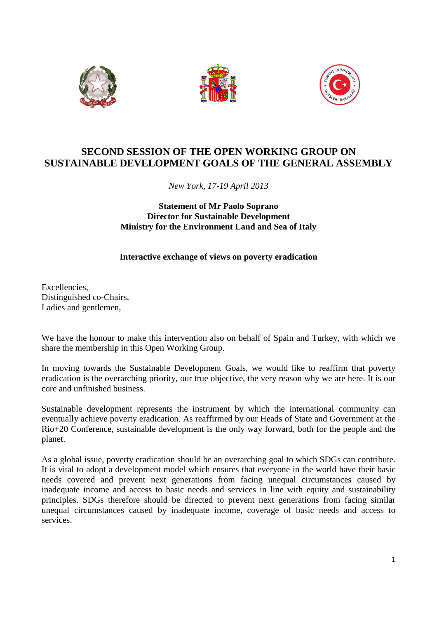





## **SECOND SESSION OF THE OPEN WORKING GROUP ON SUSTAINABLE DEVELOPMENT GOALS OF THE GENERAL ASSEMBLY**

*New York, 17-19 April 2013* 

## **Statement of Mr Paolo Soprano Director for Sustainable Development Ministry for the Environment Land and Sea of Italy**

## **Interactive exchange of views on poverty eradication**

Excellencies, Distinguished co-Chairs, Ladies and gentlemen,

We have the honour to make this intervention also on behalf of Spain and Turkey, with which we share the membership in this Open Working Group.

In moving towards the Sustainable Development Goals, we would like to reaffirm that poverty eradication is the overarching priority, our true objective, the very reason why we are here. It is our core and unfinished business.

Sustainable development represents the instrument by which the international community can eventually achieve poverty eradication. As reaffirmed by our Heads of State and Government at the Rio+20 Conference, sustainable development is the only way forward, both for the people and the planet.

As a global issue, poverty eradication should be an overarching goal to which SDGs can contribute. It is vital to adopt a development model which ensures that everyone in the world have their basic needs covered and prevent next generations from facing unequal circumstances caused by inadequate income and access to basic needs and services in line with equity and sustainability principles. SDGs therefore should be directed to prevent next generations from facing similar unequal circumstances caused by inadequate income, coverage of basic needs and access to services.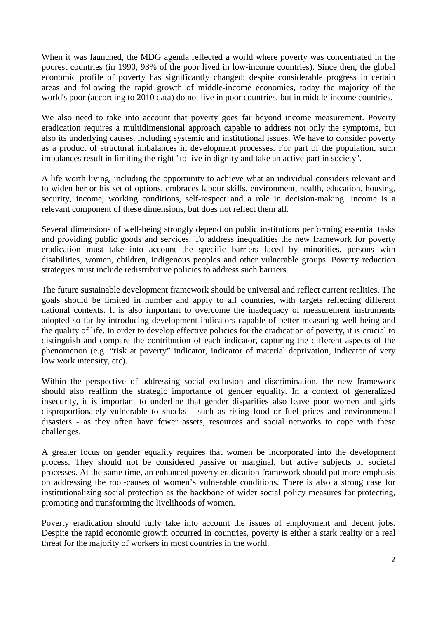When it was launched, the MDG agenda reflected a world where poverty was concentrated in the poorest countries (in 1990, 93% of the poor lived in low-income countries). Since then, the global economic profile of poverty has significantly changed: despite considerable progress in certain areas and following the rapid growth of middle-income economies, today the majority of the world's poor (according to 2010 data) do not live in poor countries, but in middle-income countries.

We also need to take into account that poverty goes far beyond income measurement. Poverty eradication requires a multidimensional approach capable to address not only the symptoms, but also its underlying causes, including systemic and institutional issues. We have to consider poverty as a product of structural imbalances in development processes. For part of the population, such imbalances result in limiting the right "to live in dignity and take an active part in society".

A life worth living, including the opportunity to achieve what an individual considers relevant and to widen her or his set of options, embraces labour skills, environment, health, education, housing, security, income, working conditions, self-respect and a role in decision-making. Income is a relevant component of these dimensions, but does not reflect them all.

Several dimensions of well-being strongly depend on public institutions performing essential tasks and providing public goods and services. To address inequalities the new framework for poverty eradication must take into account the specific barriers faced by minorities, persons with disabilities, women, children, indigenous peoples and other vulnerable groups. Poverty reduction strategies must include redistributive policies to address such barriers.

The future sustainable development framework should be universal and reflect current realities. The goals should be limited in number and apply to all countries, with targets reflecting different national contexts. It is also important to overcome the inadequacy of measurement instruments adopted so far by introducing development indicators capable of better measuring well-being and the quality of life. In order to develop effective policies for the eradication of poverty, it is crucial to distinguish and compare the contribution of each indicator, capturing the different aspects of the phenomenon (e.g. "risk at poverty" indicator, indicator of material deprivation, indicator of very low work intensity, etc).

Within the perspective of addressing social exclusion and discrimination, the new framework should also reaffirm the strategic importance of gender equality. In a context of generalized insecurity, it is important to underline that gender disparities also leave poor women and girls disproportionately vulnerable to shocks - such as rising food or fuel prices and environmental disasters - as they often have fewer assets, resources and social networks to cope with these challenges.

A greater focus on gender equality requires that women be incorporated into the development process. They should not be considered passive or marginal, but active subjects of societal processes. At the same time, an enhanced poverty eradication framework should put more emphasis on addressing the root-causes of women's vulnerable conditions. There is also a strong case for institutionalizing social protection as the backbone of wider social policy measures for protecting, promoting and transforming the livelihoods of women.

Poverty eradication should fully take into account the issues of employment and decent jobs. Despite the rapid economic growth occurred in countries, poverty is either a stark reality or a real threat for the majority of workers in most countries in the world.